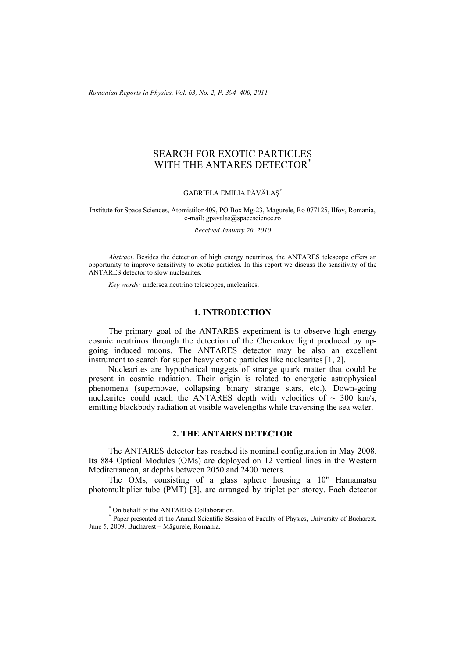*Romanian Reports in Physics, Vol. 63, No. 2, P. 394–400, 2011*

# SEARCH FOR EXOTIC PARTICLES WITH THE ANTARES DETECTOR<sup>\*</sup>

#### GABRIELA EMILIA PĂVĂLAŞ\*

Institute for Space Sciences, Atomistilor 409, PO Box Mg-23, Magurele, Ro 077125, Ilfov, Romania, e-mail: gpavalas@spacescience.ro

*Received January 20, 2010* 

*Abstract*. Besides the detection of high energy neutrinos, the ANTARES telescope offers an opportunity to improve sensitivity to exotic particles. In this report we discuss the sensitivity of the ANTARES detector to slow nuclearites.

*Key words:* undersea neutrino telescopes, nuclearites.

## **1. INTRODUCTION**

The primary goal of the ANTARES experiment is to observe high energy cosmic neutrinos through the detection of the Cherenkov light produced by upgoing induced muons. The ANTARES detector may be also an excellent instrument to search for super heavy exotic particles like nuclearites [1, 2].

Nuclearites are hypothetical nuggets of strange quark matter that could be present in cosmic radiation. Their origin is related to energetic astrophysical phenomena (supernovae, collapsing binary strange stars, etc.). Down-going nuclearites could reach the ANTARES depth with velocities of  $\sim 300$  km/s, emitting blackbody radiation at visible wavelengths while traversing the sea water.

# **2. THE ANTARES DETECTOR**

The ANTARES detector has reached its nominal configuration in May 2008. Its 884 Optical Modules (OMs) are deployed on 12 vertical lines in the Western Mediterranean, at depths between 2050 and 2400 meters.

The OMs, consisting of a glass sphere housing a 10'' Hamamatsu photomultiplier tube (PMT) [3], are arranged by triplet per storey. Each detector

 <sup>\*</sup> On behalf of the ANTARES Collaboration.

<sup>\*</sup> Paper presented at the Annual Scientific Session of Faculty of Physics, University of Bucharest, June 5, 2009, Bucharest – Măgurele, Romania.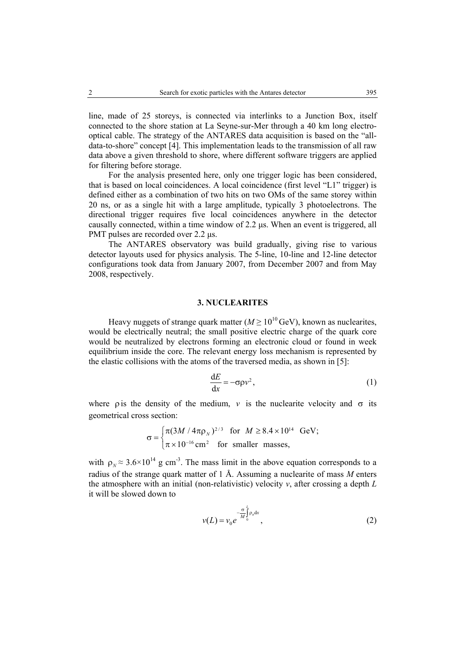line, made of 25 storeys, is connected via interlinks to a Junction Box, itself connected to the shore station at La Seyne-sur-Mer through a 40 km long electrooptical cable. The strategy of the ANTARES data acquisition is based on the "alldata-to-shore" concept [4]. This implementation leads to the transmission of all raw data above a given threshold to shore, where different software triggers are applied for filtering before storage.

For the analysis presented here, only one trigger logic has been considered, that is based on local coincidences. A local coincidence (first level "L1" trigger) is defined either as a combination of two hits on two OMs of the same storey within 20 ns, or as a single hit with a large amplitude, typically 3 photoelectrons. The directional trigger requires five local coincidences anywhere in the detector causally connected, within a time window of 2.2 µs. When an event is triggered, all PMT pulses are recorded over 2.2 us.

The ANTARES observatory was build gradually, giving rise to various detector layouts used for physics analysis. The 5-line, 10-line and 12-line detector configurations took data from January 2007, from December 2007 and from May 2008, respectively.

#### **3. NUCLEARITES**

Heavy nuggets of strange quark matter ( $M \ge 10^{10}$  GeV), known as nuclearites, would be electrically neutral; the small positive electric charge of the quark core would be neutralized by electrons forming an electronic cloud or found in week equilibrium inside the core. The relevant energy loss mechanism is represented by the elastic collisions with the atoms of the traversed media, as shown in [5]:

$$
\frac{dE}{dx} = -\sigma \rho v^2,\tag{1}
$$

where p is the density of the medium,  $v$  is the nuclearite velocity and  $\sigma$  its geometrical cross section:

$$
\sigma = \begin{cases} \pi (3M / 4\pi \rho_N)^{2/3} & \text{for } M \ge 8.4 \times 10^{14} \text{ GeV}; \\ \pi \times 10^{-16} \text{ cm}^2 & \text{for smaller masses}, \end{cases}
$$

with  $\rho_N \approx 3.6 \times 10^{14}$  g cm<sup>-3</sup>. The mass limit in the above equation corresponds to a radius of the strange quark matter of 1 Å. Assuming a nuclearite of mass *M* enters the atmosphere with an initial (non-relativistic) velocity *v*, after crossing a depth *L* it will be slowed down to

$$
v(L) = v_0 e^{-\frac{\sigma^L}{M_0} \int_0^L \rho_a dx}, \qquad (2)
$$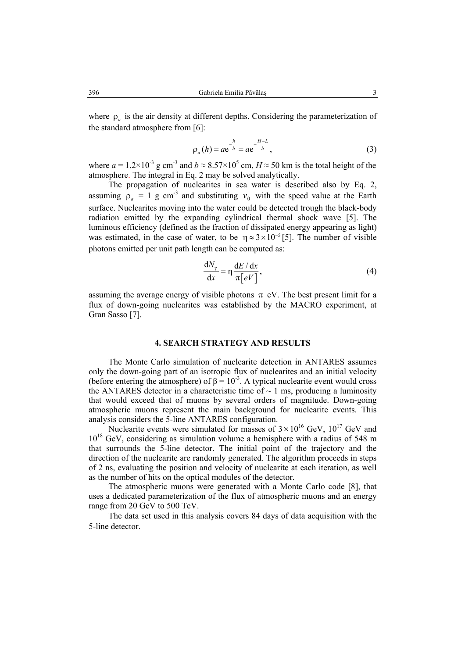where  $\rho_a$  is the air density at different depths. Considering the parameterization of the standard atmosphere from [6]:

$$
\rho_a(h) = ae^{-\frac{h}{b}} = ae^{-\frac{H-L}{b}},
$$
\n(3)

where  $a = 1.2 \times 10^{-3}$  g cm<sup>-3</sup> and  $b \approx 8.57 \times 10^{5}$  cm,  $H \approx 50$  km is the total height of the atmosphere. The integral in Eq. 2 may be solved analytically.

The propagation of nuclearites in sea water is described also by Eq. 2, assuming  $\rho_a = 1$  g cm<sup>-3</sup> and substituting  $v_0$  with the speed value at the Earth surface. Nuclearites moving into the water could be detected trough the black-body radiation emitted by the expanding cylindrical thermal shock wave [5]. The luminous efficiency (defined as the fraction of dissipated energy appearing as light) was estimated, in the case of water, to be  $\eta \approx 3 \times 10^{-5}$  [5]. The number of visible photons emitted per unit path length can be computed as:

$$
\frac{dN_{\gamma}}{dx} = \eta \frac{dE/dx}{\pi[eV]},
$$
\n(4)

assuming the average energy of visible photons  $\pi$  eV. The best present limit for a flux of down-going nuclearites was established by the MACRO experiment, at Gran Sasso [7].

#### **4. SEARCH STRATEGY AND RESULTS**

The Monte Carlo simulation of nuclearite detection in ANTARES assumes only the down-going part of an isotropic flux of nuclearites and an initial velocity (before entering the atmosphere) of  $\beta = 10^{-3}$ . A typical nuclearite event would cross the ANTARES detector in a characteristic time of  $\sim$  1 ms, producing a luminosity that would exceed that of muons by several orders of magnitude. Down-going atmospheric muons represent the main background for nuclearite events. This analysis considers the 5-line ANTARES configuration.

Nuclearite events were simulated for masses of  $3 \times 10^{16}$  GeV,  $10^{17}$  GeV and  $10^{18}$  GeV, considering as simulation volume a hemisphere with a radius of 548 m that surrounds the 5-line detector. The initial point of the trajectory and the direction of the nuclearite are randomly generated. The algorithm proceeds in steps of 2 ns, evaluating the position and velocity of nuclearite at each iteration, as well as the number of hits on the optical modules of the detector.

The atmospheric muons were generated with a Monte Carlo code [8], that uses a dedicated parameterization of the flux of atmospheric muons and an energy range from 20 GeV to 500 TeV.

The data set used in this analysis covers 84 days of data acquisition with the 5-line detector.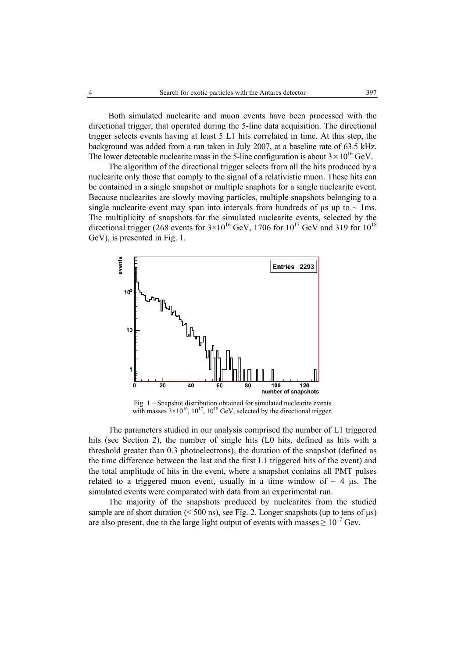Both simulated nuclearite and muon events have been processed with the directional trigger, that operated during the 5-line data acquisition. The directional trigger selects events having at least 5 L1 hits correlated in time. At this step, the background was added from a run taken in July 2007, at a baseline rate of 63.5 kHz. The lower detectable nuclearite mass in the 5-line configuration is about  $3 \times 10^{16}$  GeV.

The algorithm of the directional trigger selects from all the hits produced by a nuclearite only those that comply to the signal of a relativistic muon. These hits can be contained in a single snapshot or multiple snaphots for a single nuclearite event. Because nuclearites are slowly moving particles, multiple snapshots belonging to a single nuclearite event may span into intervals from hundreds of  $\mu$ s up to  $\sim$  1ms. The multiplicity of snapshots for the simulated nuclearite events, selected by the directional trigger (268 events for  $3\times10^{16}$  GeV, 1706 for  $10^{17}$  GeV and 319 for  $10^{18}$ GeV), is presented in Fig. 1.



Fig. 1 – Snapshot distribution obtained for simulated nuclearite events with masses  $3\times10^{16}$ ,  $10^{17}$ ,  $10^{18}$  GeV, selected by the directional trigger.

The parameters studied in our analysis comprised the number of L1 triggered hits (see Section 2), the number of single hits (L0 hits, defined as hits with a threshold greater than 0.3 photoelectrons), the duration of the snapshot (defined as the time difference between the last and the first L1 triggered hits of the event) and the total amplitude of hits in the event, where a snapshot contains all PMT pulses related to a triggered muon event, usually in a time window of  $\sim$  4 µs. The simulated events were comparated with data from an experimental run.

The majority of the snapshots produced by nuclearites from the studied sample are of short duration  $(< 500 \text{ ns}$ ), see Fig. 2. Longer snapshots (up to tens of  $\mu$ s) are also present, due to the large light output of events with masses  $\geq 10^{17}$  Gev.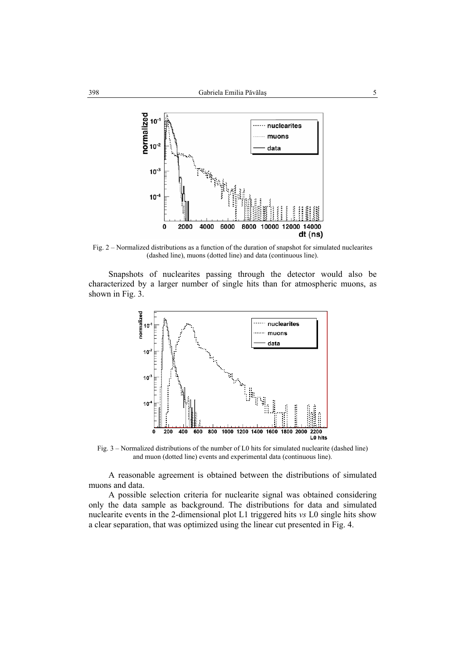

Fig. 2 – Normalized distributions as a function of the duration of snapshot for simulated nuclearites (dashed line), muons (dotted line) and data (continuous line).

Snapshots of nuclearites passing through the detector would also be characterized by a larger number of single hits than for atmospheric muons, as shown in Fig. 3.



Fig. 3 – Normalized distributions of the number of L0 hits for simulated nuclearite (dashed line) and muon (dotted line) events and experimental data (continuous line).

A reasonable agreement is obtained between the distributions of simulated muons and data.

A possible selection criteria for nuclearite signal was obtained considering only the data sample as background. The distributions for data and simulated nuclearite events in the 2-dimensional plot L1 triggered hits *vs* L0 single hits show a clear separation, that was optimized using the linear cut presented in Fig. 4.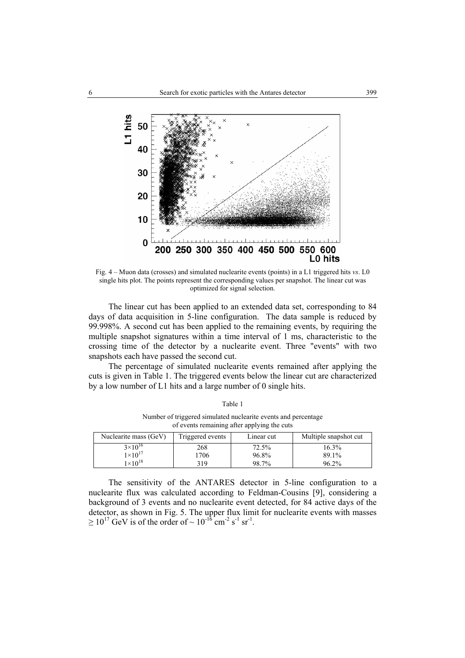

Fig. 4 – Muon data (crosses) and simulated nuclearite events (points) in a L1 triggered hits *vs*. L0 single hits plot. The points represent the corresponding values per snapshot. The linear cut was optimized for signal selection.

The linear cut has been applied to an extended data set, corresponding to 84 days of data acquisition in 5-line configuration. The data sample is reduced by 99.998%. A second cut has been applied to the remaining events, by requiring the multiple snapshot signatures within a time interval of 1 ms, characteristic to the crossing time of the detector by a nuclearite event. Three "events" with two snapshots each have passed the second cut.

The percentage of simulated nuclearite events remained after applying the cuts is given in Table 1. The triggered events below the linear cut are characterized by a low number of L1 hits and a large number of 0 single hits.

| of $\sigma$ , ento remaining after applying the eats |                  |            |                       |  |
|------------------------------------------------------|------------------|------------|-----------------------|--|
| Nuclearite mass (GeV)                                | Triggered events | Linear cut | Multiple snapshot cut |  |
| $3 \times 10^{16}$                                   | 268              | 72.5%      | $16.3\%$              |  |
| $1\times10^{17}$                                     | 706              | 96.8%      | 89.1%                 |  |
| $1\times10^{18}$                                     | 319              | 98.7%      | 96.2%                 |  |

Number of triggered simulated nuclearite events and percentage of events remaining after applying the cuts

Table 1

The sensitivity of the ANTARES detector in 5-line configuration to a nuclearite flux was calculated according to Feldman-Cousins [9], considering a background of 3 events and no nuclearite event detected, for 84 active days of the detector, as shown in Fig. 5. The upper flux limit for nuclearite events with masses  $\geq 10^{17}$  GeV is of the order of  $\sim 10^{-16}$  cm<sup>-2</sup> s<sup>-1</sup> sr<sup>-1</sup>.